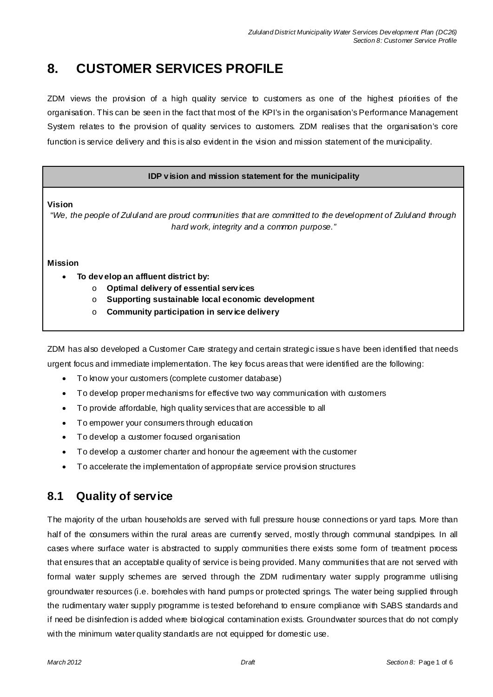# **8. CUSTOMER SERVICES PROFILE**

ZDM views the provision of a high quality service to customers as one of the highest priorities of the organisation. This can be seen in the fact that most of the KPI's in the organisation's Performance Management System relates to the provision of quality services to customers. ZDM realises that the organisation's core function is service delivery and this is also evident in the vision and mission statement of the municipality.

#### **IDP v ision and mission statement for the municipality**

**Vision** 

"*We, the people of Zululand are proud communities that are committed to the development of Zululand through hard work, integrity and a common purpose."*

#### **Mission**

- x **To dev elop an affluent district by:** 
	- o **Optimal delivery of essential serv ices**
	- o **Supporting sustainable local economic development**
	- o **Community participation in serv ice delivery**

ZDM has also developed a Customer Care strategy and certain strategic issue s have been identified that needs urgent focus and immediate implementation. The key focus areas that were identified are the following:

- To know your customers (complete customer database)
- To develop proper mechanisms for effective two way communication with customers
- To provide affordable, high quality services that are accessible to all
- To empower your consumers through education
- To develop a customer focused organisation
- To develop a customer charter and honour the agreement with the customer
- To accelerate the implementation of appropriate service provision structures

## **8.1 Quality of service**

The majority of the urban households are served with full pressure house connections or yard taps. More than half of the consumers within the rural areas are currently served, mostly through communal standpipes. In all cases where surface water is abstracted to supply communities there exists some form of treatment process that ensures that an acceptable quality of service is being provided. Many communities that are not served with formal water supply schemes are served through the ZDM rudimentary water supply programme utilising groundwater resources (i.e. boreholes with hand pumps or protected springs. The water being supplied through the rudimentary water supply programme is tested beforehand to ensure compliance with SABS standards and if need be disinfection is added where biological contamination exists. Groundwater sources that do not comply with the minimum water quality standards are not equipped for domestic use.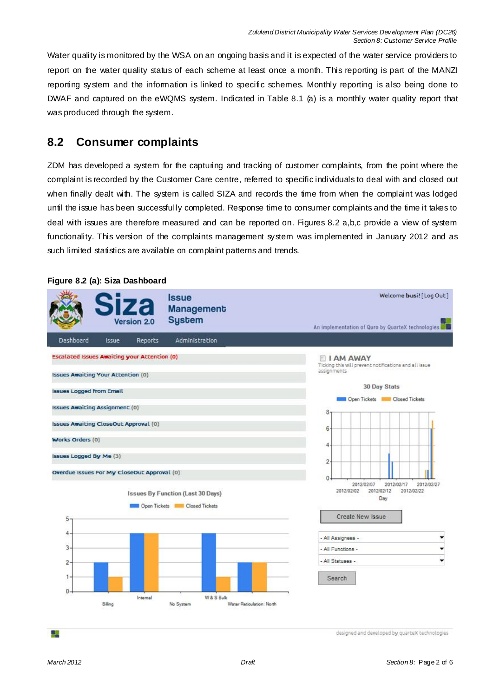Water quality is monitored by the WSA on an ongoing basis and it is expected of the water service providers to report on the water quality status of each scheme at least once a month. This reporting is part of the MANZI reporting system and the information is linked to specific schemes. Monthly reporting is also being done to DWAF and captured on the eWQMS system. Indicated in Table 8.1 (a) is a monthly water quality report that was produced through the system.

## **8.2 Consumer complaints**

ZDM has developed a system for the capturing and tracking of customer complaints, from the point where the complaint is recorded by the Customer Care centre, referred to specific individuals to deal with and closed out when finally dealt with. The system is called SIZA and records the time from when the complaint was lodged until the issue has been successfully completed. Response time to consumer complaints and the time it takes to deal with issues are therefore measured and can be reported on. Figures 8.2 a,b,c provide a view of system functionality. This version of the complaints management system was implemented in January 2012 and as such limited statistics are available on complaint patterns and trends.



#### **Figure 8.2 (a): Siza Dashboard**

25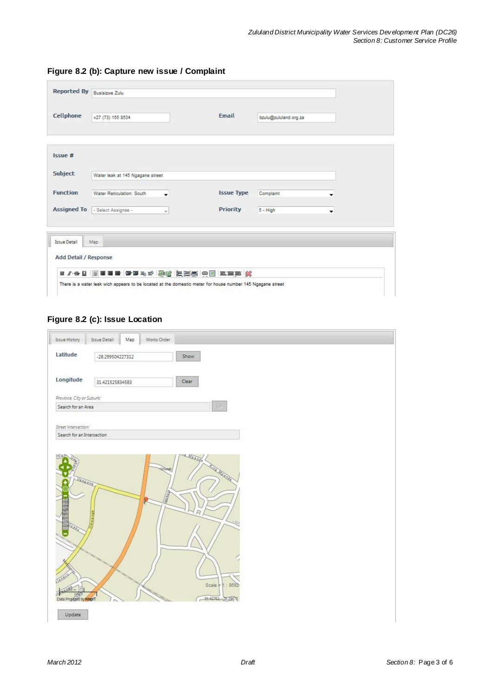|                 | Reported By Busisizwe Zulu       |                |                   |                       |   |
|-----------------|----------------------------------|----------------|-------------------|-----------------------|---|
| Cellphone       | +27 (73) 155 8534                |                | Email             | bzułu@zułuland.org.za |   |
| Issue #         |                                  |                |                   |                       |   |
| Subject         | Water leak at 145 Ngagane street |                |                   |                       |   |
| <b>Function</b> | Water Reticulation: South        | $\blacksquare$ | <b>Issue Type</b> | Complaint             | ▼ |
|                 | Assigned To   Select Assignee -  | w              | Priority          | 5 - High              | ۰ |

**Figure 8.2 (b): Capture new issue / Complaint**

# **Figure 8.2 (c): Issue Location**

| Issue History<br><b>Issue Detail</b><br>Map<br>Works Order<br>Latitude<br>Show<br>-28.299504227312<br>Longitude<br>Clear<br>31.421525834583<br>Province, City or Suburb:<br>$\mathbb{G} \sigma$<br>Search for an Area<br>Street Intersection:<br>Search for an Intersection<br>u<br>Ulondi<br>ing Magners<br>Vacana<br><b>Contract Contract Contract</b><br><b>Letter</b><br>BREE<br>Scale = 1:8692<br>31.42762, 28.29672<br>Data Provided by MaprT |  |  |  |
|-----------------------------------------------------------------------------------------------------------------------------------------------------------------------------------------------------------------------------------------------------------------------------------------------------------------------------------------------------------------------------------------------------------------------------------------------------|--|--|--|
|                                                                                                                                                                                                                                                                                                                                                                                                                                                     |  |  |  |
|                                                                                                                                                                                                                                                                                                                                                                                                                                                     |  |  |  |
|                                                                                                                                                                                                                                                                                                                                                                                                                                                     |  |  |  |
|                                                                                                                                                                                                                                                                                                                                                                                                                                                     |  |  |  |
|                                                                                                                                                                                                                                                                                                                                                                                                                                                     |  |  |  |
|                                                                                                                                                                                                                                                                                                                                                                                                                                                     |  |  |  |
|                                                                                                                                                                                                                                                                                                                                                                                                                                                     |  |  |  |
|                                                                                                                                                                                                                                                                                                                                                                                                                                                     |  |  |  |
|                                                                                                                                                                                                                                                                                                                                                                                                                                                     |  |  |  |
|                                                                                                                                                                                                                                                                                                                                                                                                                                                     |  |  |  |
|                                                                                                                                                                                                                                                                                                                                                                                                                                                     |  |  |  |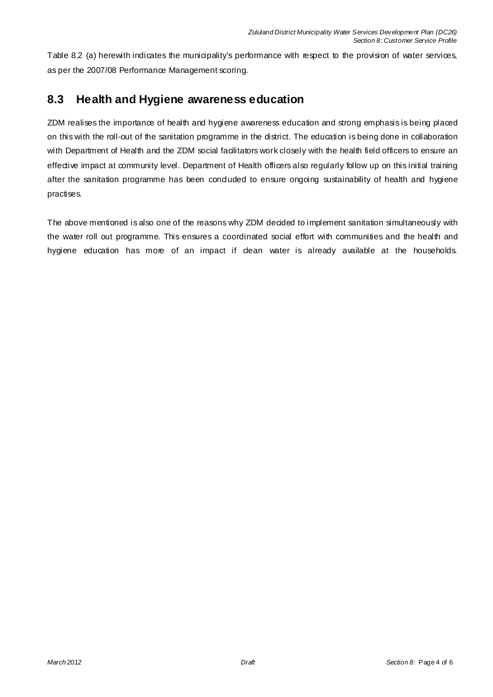Table 8.2 (a) herewith indicates the municipality's performance with respect to the provision of water services, as per the 2007/08 Performance Management scoring.

# **8.3 Health and Hygiene awareness education**

ZDM realises the importance of health and hygiene awareness education and strong emphasis is being placed on this with the roll-out of the sanitation programme in the district. The education is being done in collaboration with Department of Health and the ZDM social facilitators work closely with the health field officers to ensure an effective impact at community level. Department of Health officers also regularly follow up on this initial training after the sanitation programme has been conduded to ensure ongoing sustainability of health and hygiene practises.

The above mentioned is also one of the reasons why ZDM decided to implement sanitation simultaneously with the water roll out programme. This ensures a coordinated social effort with communities and the health and hygiene education has more of an impact if dean water is already available at the households.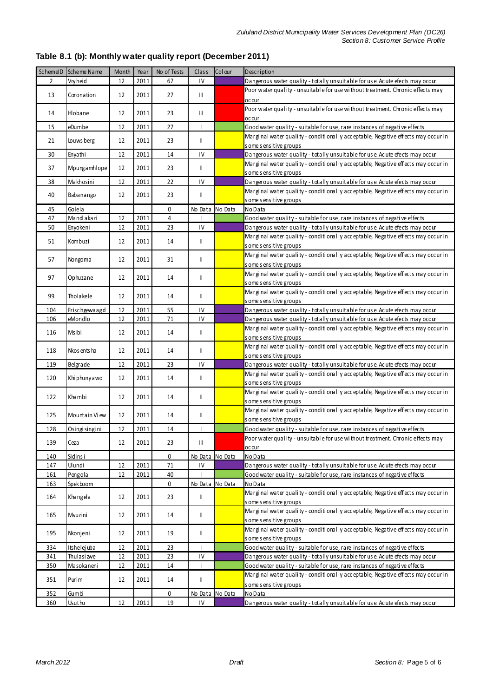|  |  | Table 8.1 (b): Monthly water quality report (December 2011) |  |
|--|--|-------------------------------------------------------------|--|
|--|--|-------------------------------------------------------------|--|

|                | SchemelD Scheme Name | Month | Year | No of Tests | Class                              | Col our | Description                                                                                                 |  |  |  |
|----------------|----------------------|-------|------|-------------|------------------------------------|---------|-------------------------------------------------------------------------------------------------------------|--|--|--|
| $\overline{2}$ | Vrvheid              | 12    | 2011 | 67          | IV                                 |         | Dangerous water quality - totally unsuitable for us e. Acute efects may occur                               |  |  |  |
| 13             | Coronation           | 12    | 2011 | 27          | Ш                                  |         | Poor water quality - unsuitable for use without treatment. Chronic effects may<br>occur                     |  |  |  |
| 14             | Hlobane              | 12    | 2011 | 23          | Ш                                  |         | Poor water quality - unsuitable for use without treatment. Chronic effects may<br>occur                     |  |  |  |
| 15             | eDumbe               | 12    | 2011 | 27          |                                    |         | Good water quality - suitable for use, rare instances of negative effects                                   |  |  |  |
|                |                      |       |      |             |                                    |         | Marginal water quality - conditionally acceptable, Negative effects may occur in                            |  |  |  |
| 21             | Louws berg           | 12    | 2011 | 23          | $\mathbf{H}$                       |         | s ome s ensitive groups                                                                                     |  |  |  |
| 30             | Enyathi              | 12    | 2011 | 14          | $\mathsf{IV}$                      |         | Dangerous water quality - totally unsuitable for use. Acute efects may occur                                |  |  |  |
| 37             | Mpungamhlope         | 12    | 2011 | 23          | Ш                                  |         | Marginal water quality - conditionally acceptable, Negative effects may occur in<br>s ome s ensitive groups |  |  |  |
| 38             | Makhosini            | 12    | 2011 | 22          | IV                                 |         | Dangerous water quality - totally unsuitable for us e. Acute efects may occur                               |  |  |  |
|                |                      |       |      |             |                                    |         | Marginal water quality - conditionally acceptable, Negative effects may occur in                            |  |  |  |
| 40             | Babanango            | 12    | 2011 | 23          | Ш                                  |         | s ome s ensitive groups                                                                                     |  |  |  |
| 45             | Golela               |       |      | 0           | No Data No Data                    |         | No Data                                                                                                     |  |  |  |
| 47             | Mand akazi           | 12    | 2011 | 4           |                                    |         | Good water quality - suitable for use, rare instances of negative effects                                   |  |  |  |
| 50             | Enyokeni             | 12    | 2011 | 23          | IV                                 |         | Dangerous water quality - totally unsuitable for us e. Acute efects may occur                               |  |  |  |
|                |                      |       |      |             |                                    |         | Marginal water quality - conditionally acceptable, Negative effects may occur in                            |  |  |  |
| 51             | Kombuzi              | 12    | 2011 | 14          | Ш                                  |         | s ome s ensitive groups                                                                                     |  |  |  |
|                |                      |       |      |             |                                    |         | Marginal water quality - conditionally acceptable, Negative effects may occur in                            |  |  |  |
| 57             | Nongoma              | 12    | 2011 | 31          | Ш                                  |         | s ome s ensitive groups                                                                                     |  |  |  |
|                |                      |       |      |             |                                    |         | Marginal water quality - conditionally acceptable, Negative effects may occur in                            |  |  |  |
| 97             | Ophuzane             | 12    | 2011 | 14          | Ш                                  |         | some sensitive groups                                                                                       |  |  |  |
|                |                      |       |      |             |                                    |         | Marginal water quality - conditionally acceptable, Negative effects may occur in                            |  |  |  |
| 99             | Tholakele            | 12    | 2011 | 14          | $\mathsf{II}$                      |         | some sensitive groups                                                                                       |  |  |  |
| 104            | Frischgewaagd        | 12    | 2011 | 55          | $\mathsf{IV}$                      |         | Dangerous water quality - totally unsuitable for us e. Acute efects may occur                               |  |  |  |
| 106            | eMondlo              | 12    | 2011 | 71          | $\mathsf{IV}$                      |         | Dangerous water quality - totally unsuitable for use. Acute efects may occur                                |  |  |  |
|                |                      |       |      |             |                                    |         | Marginal water quality - conditionally acceptable, Negative effects may occur in                            |  |  |  |
| 116            | Msibi                | 12    | 2011 | 14          | Ш                                  |         | s ome s ensitive groups                                                                                     |  |  |  |
|                | Nkos ents ha         | 12    | 2011 | 14          | Ш                                  |         | Marginal water quality - conditionally acceptable, Negative effects may occur in                            |  |  |  |
| 118            |                      |       |      |             |                                    |         | s ome s ensitive groups                                                                                     |  |  |  |
| 119            | Belgrade             | 12    | 2011 | 23          | $\mathsf{IV}$                      |         | Dangerous water quality - totally unsuitable for use. Acute efects may occur                                |  |  |  |
| 120            | Khi phunyawo         | 12    | 2011 | 14          | $\mathsf{II}$                      |         | Marginal water quality - conditionally acceptable, Negative effects may occur in                            |  |  |  |
|                |                      |       |      |             |                                    |         | s ome s ensitive groups                                                                                     |  |  |  |
| 122            | Khambi               | 12    | 2011 | 14          | $\mathsf{I}$                       |         | Marginal water quality - conditionally acceptable, Negative effects may occur in                            |  |  |  |
|                |                      |       |      |             |                                    |         | s ome s ensitive groups                                                                                     |  |  |  |
| 125            | Mountain View        | 12    | 2011 | 14          | Ш                                  |         | Marginal water quality - conditionally acceptable, Negative effects may occur in                            |  |  |  |
|                |                      |       |      |             |                                    |         | s ome s ensitive groups                                                                                     |  |  |  |
| 128            | Osingi singini       | 12    | 2011 | 14          |                                    |         | Good water quality - suitable for use, rare instances of negative effects                                   |  |  |  |
| 139            | Ceza                 | 12    | 2011 | 23          | $\ensuremath{\mathsf{III}}\xspace$ |         | Poor water quality - unsuitable for use without treatment. Chronic effects may                              |  |  |  |
|                |                      |       |      |             |                                    |         | occur                                                                                                       |  |  |  |
| 140            | Sidins i             |       |      | 0           | No Data No Data                    |         | No Data                                                                                                     |  |  |  |
| 147            | Ulundi               | 12    | 2011 | 71          | IV                                 |         | Dangerous water quality - totally unsuitable for us e. Acute efects may occur                               |  |  |  |
| 161            | Pongola              | 12    | 2011 | 40          |                                    |         | Good water quality - suitable for use, rare instances of negative effects                                   |  |  |  |
| 163            | Spek boom            |       |      | $\pmb{0}$   | No Data No Data                    |         | No Data                                                                                                     |  |  |  |
| 164            | Khangela             | 12    | 2011 | 23          | Ш                                  |         | Marginal water quality - conditionally acceptable, Negative effects may occur in                            |  |  |  |
|                |                      |       |      |             |                                    |         | s ome s ensitive groups                                                                                     |  |  |  |
| 165            | Mvuzini              | 12    | 2011 | 14          | $\mathsf{II}$                      |         | Marginal water quality - conditionally acceptable, Negative effects may occur in                            |  |  |  |
|                |                      |       |      |             |                                    |         | s ome s ensitive groups                                                                                     |  |  |  |
| 195            | Nkonjeni             | 12    | 2011 | 19          | $\mathsf{II}$                      |         | Marginal water quality - conditionally acceptable, Negative effects may occur in                            |  |  |  |
|                |                      |       |      |             |                                    |         | s ome s ensitive groups                                                                                     |  |  |  |
| 334            | Itshelej uba         | 12    | 2011 | 23          | $\overline{\phantom{a}}$           |         | Good water quality - suitable for use, rare instances of negative effects                                   |  |  |  |
| 341            | Thulasi zwe          | 12    | 2011 | 23          | IV                                 |         | Dangerous water quality - totally unsuitable for us e. Acute efects may occur                               |  |  |  |
| 350            | Masokaneni           | 12    | 2011 | 14          | I                                  |         | Good water quality - suitable for use, rare instances of negative effects                                   |  |  |  |
| 351            | Purim                | 12    | 2011 | 14          | Ш                                  |         | Marginal water quality - conditionally acceptable, Negative effects may occur in                            |  |  |  |
|                |                      |       |      |             |                                    |         | s ome s ensitive groups                                                                                     |  |  |  |
| 352            | Gumbi                |       |      | 0           | No Data No Data                    |         | No Data                                                                                                     |  |  |  |
| 360            | Usuthu               | 12    | 2011 | 19          | 1V                                 |         | Dangerous water quality - totally unsuitable for use. Acute efects may occur                                |  |  |  |